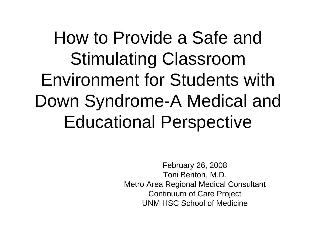How to Provide a Safe and Stimulating Classroom Environment for Students with Down Syndrome-A Medical and Educational Perspective

> February 26, 2008 Toni Benton, M.D. Metro Area Regional Medical Consultant Continuum of Care Project UNM HSC School of Medicine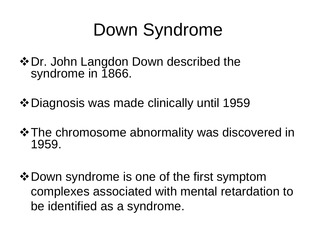#### Down Syndrome

- ❖ Dr. John Langdon Down described the syndrome in 1866.
- Diagnosis was made clinically until 1959
- $\triangle$  **The chromosome abnormality was discovered in** 1959.
- $\triangle$  **Down syndrome is one of the first symptom** complexes associated with mental retardation to be identified as a syndrome.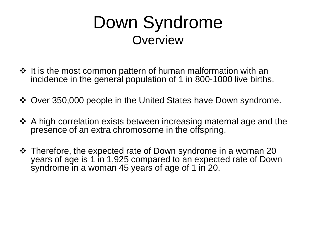#### Down Syndrome **Overview**

- $\cdot$  It is the most common pattern of human malformation with an incidence in the general population of 1 in 800-1000 live births.
- Over 350,000 people in the United States have Down syndrome.
- A high correlation exists between increasing maternal age and the presence of an extra chromosome in the offspring.
- ❖ Therefore, the expected rate of Down syndrome in a woman 20 years of age is 1 in 1,925 compared to an expected rate of Down syndrome in a woman 45 years of age of 1 in 20.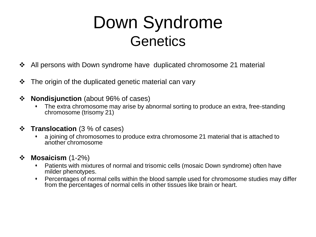#### Down Syndrome **Genetics**

- All persons with Down syndrome have duplicated chromosome 21 material
- $\cdot$  The origin of the duplicated genetic material can vary
- **❖ Nondisjunction** (about 96% of cases)
	- The extra chromosome may arise by abnormal sorting to produce an extra, free-standing chromosome (trisomy 21)
- **Translocation** (3 % of cases)
	- a joining of chromosomes to produce extra chromosome 21 material that is attached to another chromosome

#### **Mosaicism** (1-2%)

- Patients with mixtures of normal and trisomic cells (mosaic Down syndrome) often have milder phenotypes.
- Percentages of normal cells within the blood sample used for chromosome studies may differ from the percentages of normal cells in other tissues like brain or heart.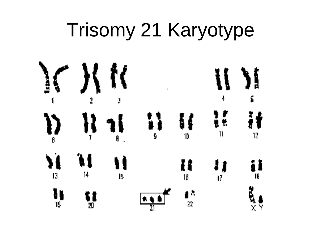#### Trisomy 21 Karyotype

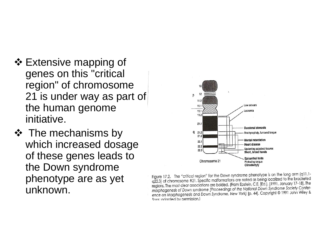- ❖ Extensive mapping of genes on this "critical region" of chromosome 21 is under way as part of the human genome initiative.
- $\div$  The mechanisms by which increased dosage of these genes leads to the Down syndrome phenotype are as yet unknown.



Figure 17.2. The "critical region" for the Down syndrome phenotype is on the long arm (q11.1-<br>Figure 17.2. The "critical region" for the Down syndrome phenotype is on the long legalized to the bracketed rigure 17.2. The children region for the bown synalogie process period is been decided to the bracketed<br>q22.3) of chromosome #21. Specific malformations are noted as being localized to the bracketed ergions. The most clear associations are bolded. (From Epstein, C.E. [Ed.]. [1991, January 17-18]. The regions. The most clear associations are bolded. (From Epstein, C.E. [Ed.]. [1991, January 17-18]. The regions. The most clear associations are bolded: (From Epiteman Down Syndrome Society Confer-<br>morphogenesis of Down syndrome [Proceedings of the National Down Syndrome Society Confermorphogenesis of Down syndrome proceedings of the Nonondi Domini, Director on Morphogenesis and Down Syndrome, New York] [p. 44]. Copyright © 1991 John Wiley & Sons: adapted by permission.)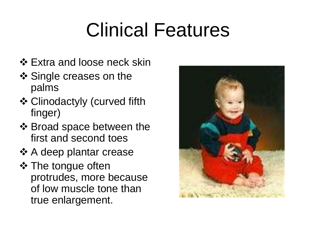# Clinical Features

- ❖ Extra and loose neck skin
- ❖ Single creases on the palms
- Clinodactyly (curved fifth finger)
- ❖ Broad space between the first and second toes
- **❖ A deep plantar crease**
- **❖ The tongue often** protrudes, more because of low muscle tone than true enlargement.

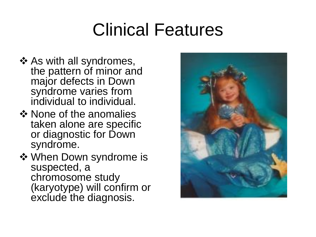#### Clinical Features

- ❖ As with all syndromes, the pattern of minor and major defects in Down syndrome varies from individual to individual.
- ❖ None of the anomalies taken alone are specific or diagnostic for Down syndrome.
- **❖ When Down syndrome is** suspected, a chromosome study (karyotype) will confirm or exclude the diagnosis.

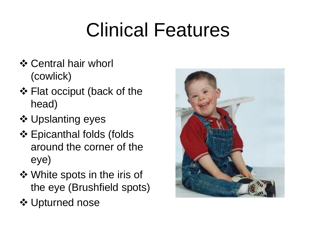# Clinical Features

- ❖ Central hair whorl (cowlick)
- ❖ Flat occiput (back of the head)
- **❖ Upslanting eyes**
- ❖ Epicanthal folds (folds around the corner of the eye)
- White spots in the iris of the eye (Brushfield spots)
- **❖ Upturned nose**

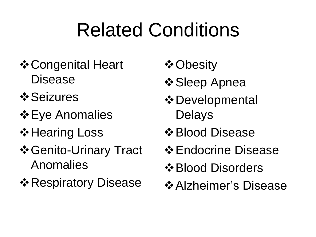# Related Conditions

- **❖ Congenital Heart** Disease
- *❖* Seizures
- $\div$  **Eye Anomalies**
- **☆ Hearing Loss**
- Genito-Urinary Tract Anomalies
- **\*** Respiratory Disease
- **☆ Obesity**
- Sleep Apnea
- Developmental Delays
- $\triangle$  **Blood Disease**
- $\div$  **Endocrine Disease**
- Blood Disorders
- **☆ Alzheimer's Disease**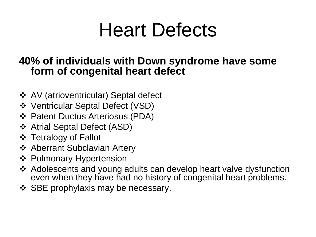#### Heart Defects

#### **40% of individuals with Down syndrome have some form of congenital heart defect**

- AV (atrioventricular) Septal defect
- Ventricular Septal Defect (VSD)
- Patent Ductus Arteriosus (PDA)
- Atrial Septal Defect (ASD)
- ❖ Tetralogy of Fallot
- **❖ Aberrant Subclavian Artery**
- ❖ Pulmonary Hypertension
- Adolescents and young adults can develop heart valve dysfunction even when they have had no history of congenital heart problems.
- $\div$  SBE prophylaxis may be necessary.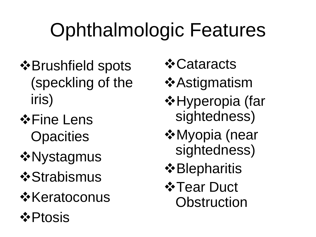# Ophthalmologic Features

- $\triangle$ **Brushfield spots** (speckling of the iris)
- $\triangle$ **Fine Lens Opacities**
- *❖***Nystagmus**
- *❖***Strabismus**
- *<u>☆Keratoconus</u>*
- **☆Ptosis**
- *❖* Cataracts
- *❖***Astigmatism**
- $\triangle$ **Hyperopia (far** sightedness)
- Myopia (near sightedness)
- $\triangle$ **Blepharitis**
- **☆ Tear Duct Obstruction**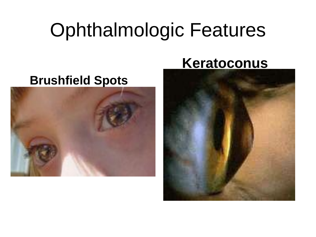#### Ophthalmologic Features

#### **Brushfield Spots**



#### **Keratoconus**

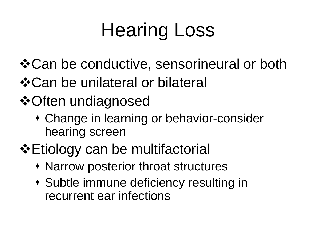# Hearing Loss

- Can be conductive, sensorineural or both
- Can be unilateral or bilateral
- **❖ Often undiagnosed** 
	- Change in learning or behavior-consider hearing screen
- Etiology can be multifactorial
	- Narrow posterior throat structures
	- Subtle immune deficiency resulting in recurrent ear infections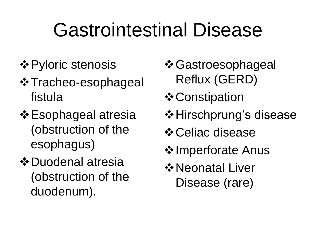## Gastrointestinal Disease

- **❖ Pyloric stenosis**
- Tracheo-esophageal fistula
- Esophageal atresia (obstruction of the esophagus)
- $\triangle$  **Duodenal atresia** (obstruction of the duodenum).
- **☆ Gastroesophageal** Reflux (GERD)
- **❖ Constipation**
- **☆ Hirschprung's disease**
- **☆ Celiac disease**
- **❖ Imperforate Anus**
- Neonatal Liver Disease (rare)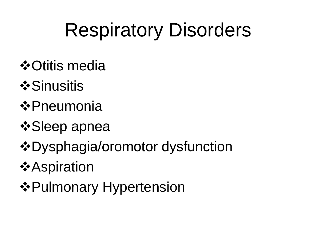## Respiratory Disorders

- *❖* Otitis media
- *<u>*\*Sinusitis</u>
- Pneumonia
- *❖* Sleep apnea
- Dysphagia/oromotor dysfunction
- *<u>*☆Aspiration</u>
- $\triangle$  **Pulmonary Hypertension**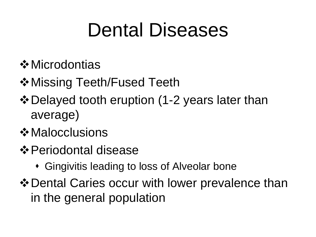#### Dental Diseases

- **☆** Microdontias
- **☆ Missing Teeth/Fused Teeth**
- Delayed tooth eruption (1-2 years later than average)
- **☆ Malocclusions**
- Periodontal disease
	- Gingivitis leading to loss of Alveolar bone
- $\triangle$  **Dental Caries occur with lower prevalence than** in the general population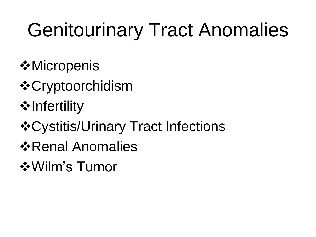# Genitourinary Tract Anomalies

- *<u>* Micropenis</u>
- *❖***Cryptoorchidism**
- $\triangle$ Infertility
- Cystitis/Urinary Tract Infections
- *<b>* Renal Anomalies
- Wilm's Tumor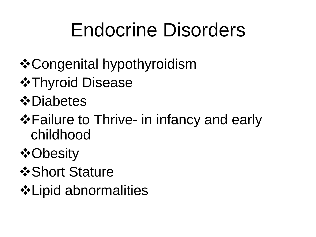### Endocrine Disorders

- Congenital hypothyroidism
- $\triangle$ **Thyroid Disease**
- **☆Diabetes**
- **\*** Failure to Thrive- in infancy and early childhood
- **☆Obesity**
- *❖***Short Stature**
- Lipid abnormalities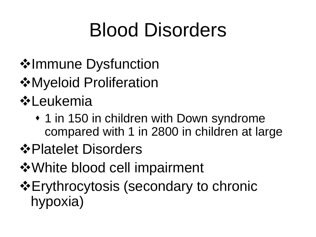## Blood Disorders

- **❖Immune Dysfunction**
- **☆Myeloid Proliferation**
- *<b>☆Leukemia* 
	- 1 in 150 in children with Down syndrome compared with 1 in 2800 in children at large
- Platelet Disorders
- White blood cell impairment
- **Erythrocytosis (secondary to chronic** hypoxia)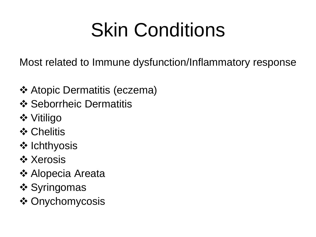# Skin Conditions

Most related to Immune dysfunction/Inflammatory response

- **❖ Atopic Dermatitis (eczema)**
- **❖ Seborrheic Dermatitis**
- **❖** Vitiligo
- **❖ Chelitis**
- ❖ Ichthyosis
- *\** Xerosis
- **❖ Alopecia Areata**
- ❖ Syringomas
- ❖ Onychomycosis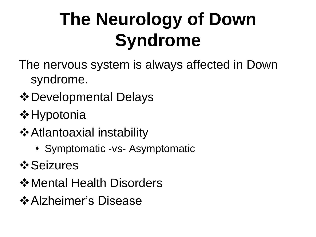#### **The Neurology of Down Syndrome**

- The nervous system is always affected in Down syndrome.
- Developmental Delays
- **❖ Hypotonia**
- **❖ Atlantoaxial instability** 
	- Symptomatic -vs- Asymptomatic
- *<b>* Seizures
- $\triangle$  **Mental Health Disorders**
- **☆ Alzheimer's Disease**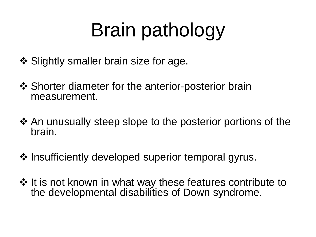# Brain pathology

- ❖ Slightly smaller brain size for age.
- $\triangle$  Shorter diameter for the anterior-posterior brain measurement.
- ❖ An unusually steep slope to the posterior portions of the brain.
- $\cdot$  Insufficiently developed superior temporal gyrus.
- ❖ It is not known in what way these features contribute to the developmental disabilities of Down syndrome.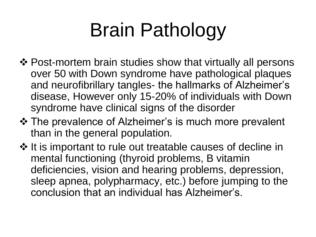# Brain Pathology

- ❖ Post-mortem brain studies show that virtually all persons over 50 with Down syndrome have pathological plaques and neurofibrillary tangles- the hallmarks of Alzheimer's disease, However only 15-20% of individuals with Down syndrome have clinical signs of the disorder
- The prevalence of Alzheimer's is much more prevalent than in the general population.
- ❖ It is important to rule out treatable causes of decline in mental functioning (thyroid problems, B vitamin deficiencies, vision and hearing problems, depression, sleep apnea, polypharmacy, etc.) before jumping to the conclusion that an individual has Alzheimer's.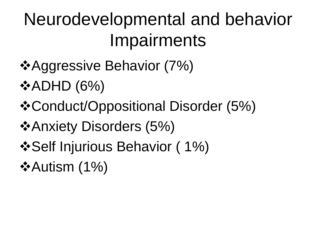#### Neurodevelopmental and behavior **Impairments**

- **\*Aggressive Behavior (7%)**
- $\triangle$ ADHD (6%)
- Conduct/Oppositional Disorder (5%)
- **\*Anxiety Disorders (5%)**
- $\cdot$  **Self Injurious Behavior (1%)**
- $\triangle$ Autism (1%)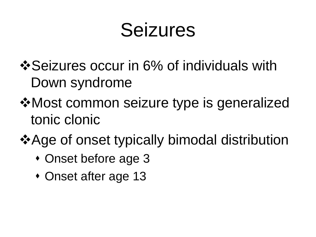#### Seizures

- $\cdot$  **Seizures occur in 6% of individuals with** Down syndrome
- Most common seizure type is generalized tonic clonic
- **\*Age of onset typically bimodal distribution** 
	- Onset before age 3
	- Onset after age 13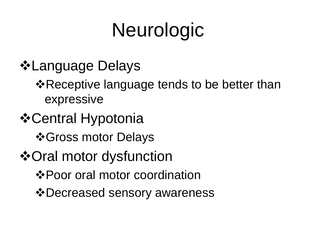# Neurologic

- **☆Language Delays** 
	- **\*Receptive language tends to be better than** expressive
- *❖* Central Hypotonia
	- *❖***Gross motor Delays**
- Oral motor dysfunction
	- Poor oral motor coordination
	- Decreased sensory awareness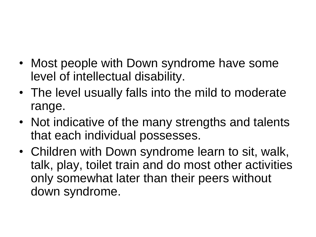- Most people with Down syndrome have some level of intellectual disability.
- The level usually falls into the mild to moderate range.
- Not indicative of the many strengths and talents that each individual possesses.
- Children with Down syndrome learn to sit, walk, talk, play, toilet train and do most other activities only somewhat later than their peers without down syndrome.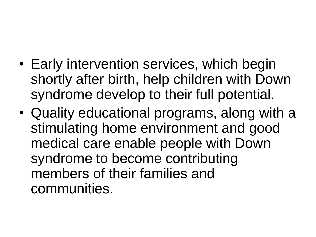- Early intervention services, which begin shortly after birth, help children with Down syndrome develop to their full potential.
- Quality educational programs, along with a stimulating home environment and good medical care enable people with Down syndrome to become contributing members of their families and communities.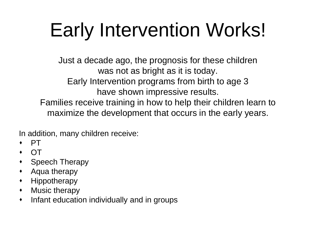# Early Intervention Works!

Just a decade ago, the prognosis for these children was not as bright as it is today. Early Intervention programs from birth to age 3 have shown impressive results. Families receive training in how to help their children learn to maximize the development that occurs in the early years.

In addition, many children receive:

- PT
- OT
- Speech Therapy
- Aqua therapy
- Hippotherapy
- Music therapy
- Infant education individually and in groups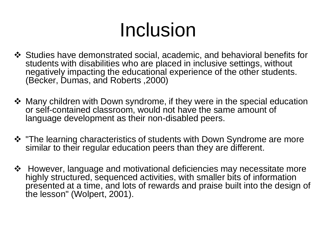# Inclusion

- Studies have demonstrated social, academic, and behavioral benefits for students with disabilities who are placed in inclusive settings, without negatively impacting the educational experience of the other students. (Becker, Dumas, and Roberts ,2000)
- $\triangle$  Many children with Down syndrome, if they were in the special education or self-contained classroom, would not have the same amount of language development as their non-disabled peers.
- **\*** "The learning characteristics of students with Down Syndrome are more similar to their regular education peers than they are different.
- However, language and motivational deficiencies may necessitate more highly structured, sequenced activities, with smaller bits of information presented at a time, and lots of rewards and praise built into the design of the lesson" (Wolpert, 2001).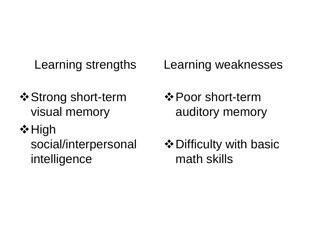Learning strengths

- **❖ Strong short-term** visual memory
- $\diamond$  High

social/interpersonal intelligence

Learning weaknesses

- **☆ Poor short-term** auditory memory
- **❖ Difficulty with basic** math skills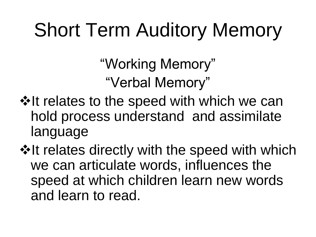#### Short Term Auditory Memory

"Working Memory" "Verbal Memory"

❖ It relates to the speed with which we can hold process understand and assimilate language

**\*It relates directly with the speed with which** we can articulate words, influences the speed at which children learn new words and learn to read.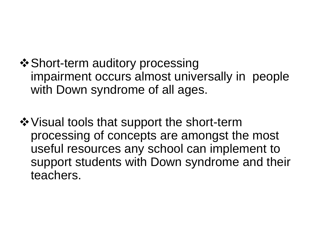**❖ Short-term auditory processing** impairment occurs almost universally in people with Down syndrome of all ages.

 $\dots$  Visual tools that support the short-term processing of concepts are amongst the most useful resources any school can implement to support students with Down syndrome and their teachers.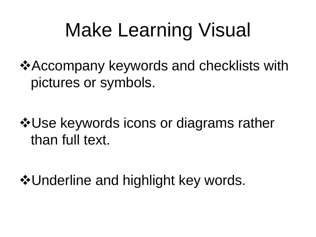### Make Learning Visual

**\*Accompany keywords and checklists with** pictures or symbols.

**\*Use keywords icons or diagrams rather** than full text.

❖ Underline and highlight key words.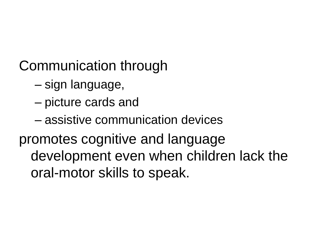Communication through

- sign language,
- picture cards and
- assistive communication devices

promotes cognitive and language development even when children lack the oral-motor skills to speak.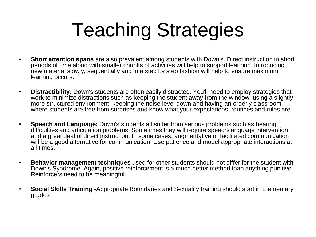# Teaching Strategies

- **Short attention spans** are also prevalent among students with Down's. Direct instruction in short periods of time along with smaller chunks of activities will help to support learning. Introducing new material slowly, sequentially and in a step by step fashion will help to ensure maximum learning occurs.
- **Distractibility:** Down's students are often easily distracted. You'll need to employ strategies that work to minimize distractions such as keeping the student away from the window, using a slightly more structured environment, keeping the noise level down and having an orderly classroom where students are free from surprises and know what your expectations, routines and rules are.
- **Speech and Language:** Down's students all suffer from serious problems such as hearing difficulties and articulation problems. Sometimes they will require speech/language intervention and a great deal of direct instruction. In some cases, augmentative or facilitated communication will be a good alternative for communication. Use patience and model appropriate interactions at all times.
- **Behavior management techniques** used for other students should not differ for the student with Down's Syndrome. Again, positive reinforcement is a much better method than anything punitive. Reinforcers need to be meaningful.
- **Social Skills Training** -Appropriate Boundaries and Sexuality training should start in Elementary grades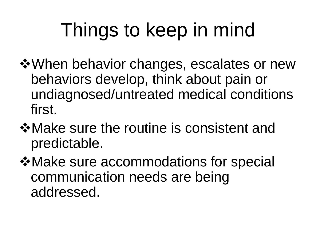# Things to keep in mind

- **\*** When behavior changes, escalates or new behaviors develop, think about pain or undiagnosed/untreated medical conditions first.
- Make sure the routine is consistent and predictable.
- $\dots$  **Make sure accommodations for special** communication needs are being addressed.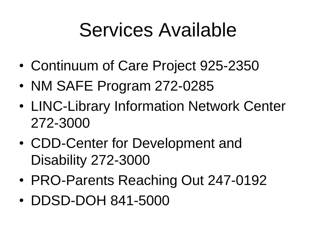#### Services Available

- Continuum of Care Project 925-2350
- NM SAFE Program 272-0285
- LINC-Library Information Network Center 272-3000
- CDD-Center for Development and Disability 272-3000
- PRO-Parents Reaching Out 247-0192
- DDSD-DOH 841-5000